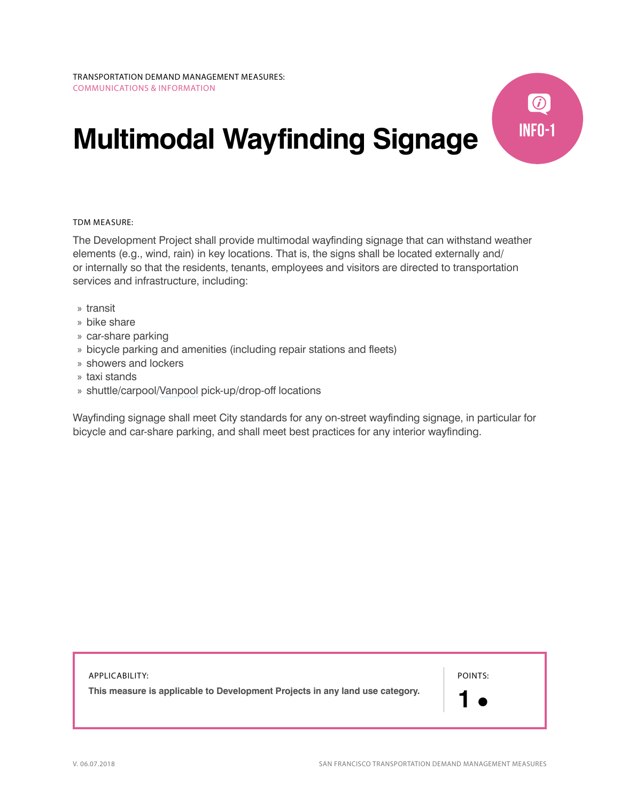## **Multimodal Wayfinding Signage**



The Development Project shall provide multimodal wayfinding signage that can withstand weather elements (e.g., wind, rain) in key locations. That is, the signs shall be located externally and/ or internally so that the residents, tenants, employees and visitors are directed to transportation services and infrastructure, including:

- » transit
- » bike share
- » car-share parking
- » bicycle parking and amenities (including repair stations and fleets)
- » showers and lockers
- » taxi stands
- » shuttle/carpool/[Vanpool](http://library.amlegal.com/nxt/gateway.dll/California/environment/chapter4healthyairandcleantransportation?f=templates$fn=default.htm$3.0$vid=amlegal:sanfrancisco_ca$anc=JD_427) pick-up/drop-off locations

Wayfinding signage shall meet City standards for any on-street wayfinding signage, in particular for bicycle and car-share parking, and shall meet best practices for any interior wayfinding.

APPLICABILITY: **This measure is applicable to Development Projects in any land use category.**  POINTS: **1** 

**INFO-1**

 $\bigcirc$